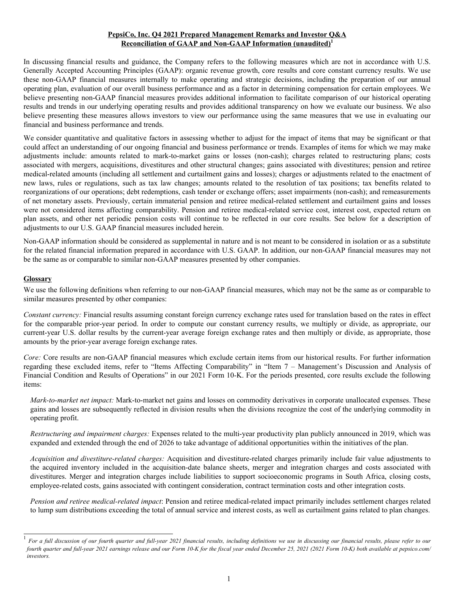### **PepsiCo, Inc. Q4 2021 Prepared Management Remarks and Investor Q&A Reconciliation of GAAP and Non-GAAP Information (unaudited)<sup>1</sup>**

In discussing financial results and guidance, the Company refers to the following measures which are not in accordance with U.S. Generally Accepted Accounting Principles (GAAP): organic revenue growth, core results and core constant currency results. We use these non-GAAP financial measures internally to make operating and strategic decisions, including the preparation of our annual operating plan, evaluation of our overall business performance and as a factor in determining compensation for certain employees. We believe presenting non-GAAP financial measures provides additional information to facilitate comparison of our historical operating results and trends in our underlying operating results and provides additional transparency on how we evaluate our business. We also believe presenting these measures allows investors to view our performance using the same measures that we use in evaluating our financial and business performance and trends.

We consider quantitative and qualitative factors in assessing whether to adjust for the impact of items that may be significant or that could affect an understanding of our ongoing financial and business performance or trends. Examples of items for which we may make adjustments include: amounts related to mark-to-market gains or losses (non-cash); charges related to restructuring plans; costs associated with mergers, acquisitions, divestitures and other structural changes; gains associated with divestitures; pension and retiree medical-related amounts (including all settlement and curtailment gains and losses); charges or adjustments related to the enactment of new laws, rules or regulations, such as tax law changes; amounts related to the resolution of tax positions; tax benefits related to reorganizations of our operations; debt redemptions, cash tender or exchange offers; asset impairments (non-cash); and remeasurements of net monetary assets. Previously, certain immaterial pension and retiree medical-related settlement and curtailment gains and losses were not considered items affecting comparability. Pension and retiree medical-related service cost, interest cost, expected return on plan assets, and other net periodic pension costs will continue to be reflected in our core results. See below for a description of adjustments to our U.S. GAAP financial measures included herein.

Non-GAAP information should be considered as supplemental in nature and is not meant to be considered in isolation or as a substitute for the related financial information prepared in accordance with U.S. GAAP. In addition, our non-GAAP financial measures may not be the same as or comparable to similar non-GAAP measures presented by other companies.

### **Glossary**

We use the following definitions when referring to our non-GAAP financial measures, which may not be the same as or comparable to similar measures presented by other companies:

*Constant currency:* Financial results assuming constant foreign currency exchange rates used for translation based on the rates in effect for the comparable prior-year period. In order to compute our constant currency results, we multiply or divide, as appropriate, our current-year U.S. dollar results by the current-year average foreign exchange rates and then multiply or divide, as appropriate, those amounts by the prior-year average foreign exchange rates.

*Core:* Core results are non-GAAP financial measures which exclude certain items from our historical results. For further information regarding these excluded items, refer to "Items Affecting Comparability" in "Item 7 – Management's Discussion and Analysis of Financial Condition and Results of Operations" in our 2021 Form 10-K. For the periods presented, core results exclude the following items:

*Mark-to-market net impact:* Mark-to-market net gains and losses on commodity derivatives in corporate unallocated expenses. These gains and losses are subsequently reflected in division results when the divisions recognize the cost of the underlying commodity in operating profit.

*Restructuring and impairment charges:* Expenses related to the multi-year productivity plan publicly announced in 2019, which was expanded and extended through the end of 2026 to take advantage of additional opportunities within the initiatives of the plan.

*Acquisition and divestiture-related charges:* Acquisition and divestiture-related charges primarily include fair value adjustments to the acquired inventory included in the acquisition-date balance sheets, merger and integration charges and costs associated with divestitures. Merger and integration charges include liabilities to support socioeconomic programs in South Africa, closing costs, employee-related costs, gains associated with contingent consideration, contract termination costs and other integration costs.

*Pension and retiree medical-related impact*: Pension and retiree medical-related impact primarily includes settlement charges related to lump sum distributions exceeding the total of annual service and interest costs, as well as curtailment gains related to plan changes.

<sup>1</sup> *For a full discussion of our fourth quarter and full-year 2021 financial results, including definitions we use in discussing our financial results, please refer to our fourth quarter and full-year 2021 earnings release and our Form 10-K for the fiscal year ended December 25, 2021 (2021 Form 10-K) both available at pepsico.com/ investors.*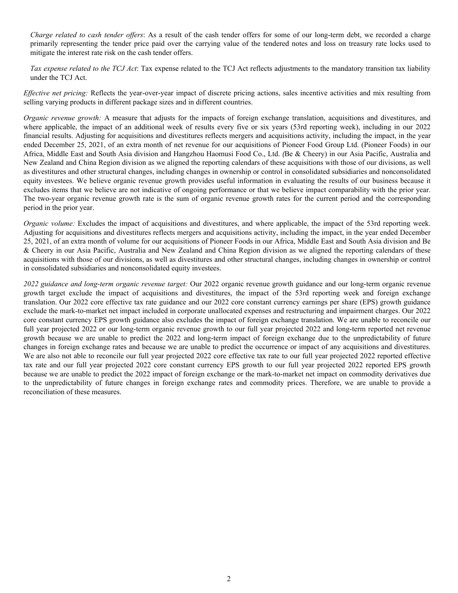*Charge related to cash tender offers*: As a result of the cash tender offers for some of our long-term debt, we recorded a charge primarily representing the tender price paid over the carrying value of the tendered notes and loss on treasury rate locks used to mitigate the interest rate risk on the cash tender offers.

*Tax expense related to the TCJ Act*: Tax expense related to the TCJ Act reflects adjustments to the mandatory transition tax liability under the TCJ Act.

*Effective net pricing:* Reflects the year-over-year impact of discrete pricing actions, sales incentive activities and mix resulting from selling varying products in different package sizes and in different countries.

*Organic revenue growth:* A measure that adjusts for the impacts of foreign exchange translation, acquisitions and divestitures, and where applicable, the impact of an additional week of results every five or six years (53rd reporting week), including in our 2022 financial results. Adjusting for acquisitions and divestitures reflects mergers and acquisitions activity, including the impact, in the year ended December 25, 2021, of an extra month of net revenue for our acquisitions of Pioneer Food Group Ltd. (Pioneer Foods) in our Africa, Middle East and South Asia division and Hangzhou Haomusi Food Co., Ltd. *(*Be & Cheery) in our Asia Pacific, Australia and New Zealand and China Region division as we aligned the reporting calendars of these acquisitions with those of our divisions, as well as divestitures and other structural changes, including changes in ownership or control in consolidated subsidiaries and nonconsolidated equity investees. We believe organic revenue growth provides useful information in evaluating the results of our business because it excludes items that we believe are not indicative of ongoing performance or that we believe impact comparability with the prior year. The two-year organic revenue growth rate is the sum of organic revenue growth rates for the current period and the corresponding period in the prior year.

*Organic volume:* Excludes the impact of acquisitions and divestitures, and where applicable, the impact of the 53rd reporting week. Adjusting for acquisitions and divestitures reflects mergers and acquisitions activity, including the impact, in the year ended December 25, 2021, of an extra month of volume for our acquisitions of Pioneer Foods in our Africa, Middle East and South Asia division and Be & Cheery in our Asia Pacific, Australia and New Zealand and China Region division as we aligned the reporting calendars of these acquisitions with those of our divisions, as well as divestitures and other structural changes, including changes in ownership or control in consolidated subsidiaries and nonconsolidated equity investees.

*2022 guidance and long-term organic revenue target:* Our 2022 organic revenue growth guidance and our long-term organic revenue growth target exclude the impact of acquisitions and divestitures, the impact of the 53rd reporting week and foreign exchange translation. Our 2022 core effective tax rate guidance and our 2022 core constant currency earnings per share (EPS) growth guidance exclude the mark-to-market net impact included in corporate unallocated expenses and restructuring and impairment charges. Our 2022 core constant currency EPS growth guidance also excludes the impact of foreign exchange translation. We are unable to reconcile our full year projected 2022 or our long-term organic revenue growth to our full year projected 2022 and long-term reported net revenue growth because we are unable to predict the 2022 and long-term impact of foreign exchange due to the unpredictability of future changes in foreign exchange rates and because we are unable to predict the occurrence or impact of any acquisitions and divestitures. We are also not able to reconcile our full year projected 2022 core effective tax rate to our full year projected 2022 reported effective tax rate and our full year projected 2022 core constant currency EPS growth to our full year projected 2022 reported EPS growth because we are unable to predict the 2022 impact of foreign exchange or the mark-to-market net impact on commodity derivatives due to the unpredictability of future changes in foreign exchange rates and commodity prices. Therefore, we are unable to provide a reconciliation of these measures.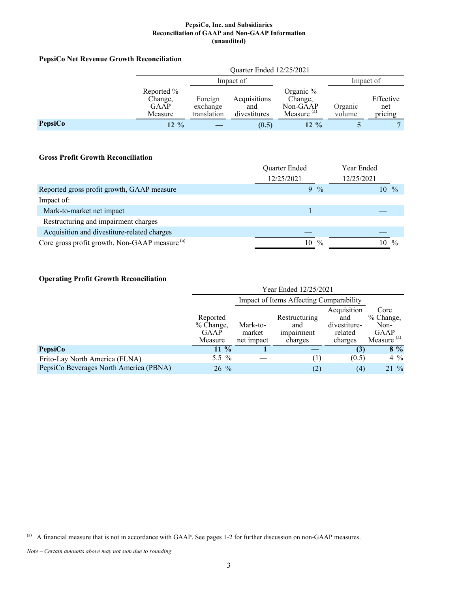# **PepsiCo Net Revenue Growth Reconciliation**

|         | Quarter Ended 12/25/2021                        |                                    |                                     |                                                              |                   |                             |
|---------|-------------------------------------------------|------------------------------------|-------------------------------------|--------------------------------------------------------------|-------------------|-----------------------------|
|         | Impact of                                       |                                    |                                     |                                                              | Impact of         |                             |
|         | Reported %<br>Change,<br><b>GAAP</b><br>Measure | Foreign<br>exchange<br>translation | Acquisitions<br>and<br>divestitures | Organic $%$<br>Change,<br>Non-GAAP<br>Measure <sup>(a)</sup> | Organic<br>volume | Effective<br>net<br>pricing |
| PepsiCo | $12 \frac{9}{6}$                                |                                    | (0.5)                               | $12\%$                                                       |                   |                             |

### **Gross Profit Growth Reconciliation**

|                                                           | Quarter Ended       | Year Ended          |
|-----------------------------------------------------------|---------------------|---------------------|
|                                                           | 12/25/2021          | 12/25/2021          |
| Reported gross profit growth, GAAP measure                | $9\frac{0}{0}$      | $10 \frac{9}{6}$    |
| Impact of:                                                |                     |                     |
| Mark-to-market net impact                                 |                     |                     |
| Restructuring and impairment charges                      |                     |                     |
| Acquisition and divestiture-related charges               |                     |                     |
| Core gross profit growth, Non-GAAP measure <sup>(a)</sup> | $\frac{0}{0}$<br>10 | $\frac{0}{0}$<br>10 |

## **Operating Profit Growth Reconciliation**

|                                        | Year Ended 12/25/2021                             |                                         |                                               |                                                          |                                                             |  |
|----------------------------------------|---------------------------------------------------|-----------------------------------------|-----------------------------------------------|----------------------------------------------------------|-------------------------------------------------------------|--|
|                                        |                                                   | Impact of Items Affecting Comparability |                                               |                                                          |                                                             |  |
|                                        | Reported<br>$%$ Change.<br><b>GAAP</b><br>Measure | Mark-to-<br>market<br>net impact        | Restructuring<br>and<br>impairment<br>charges | Acquisition<br>and<br>divestiture-<br>related<br>charges | Core<br>% Change,<br>Non-<br>GAAP<br>Measure <sup>(a)</sup> |  |
| <b>PepsiCo</b>                         | $11\%$                                            |                                         |                                               | (3)                                                      | $8\%$                                                       |  |
| Frito-Lay North America (FLNA)         | 5.5 $%$                                           |                                         | (1)                                           | (0.5)                                                    | $4\%$                                                       |  |
| PepsiCo Beverages North America (PBNA) | $26\%$                                            |                                         | (2)                                           | (4)                                                      | $21\%$                                                      |  |

<sup>(</sup>a) A financial measure that is not in accordance with GAAP. See pages 1-2 for further discussion on non-GAAP measures.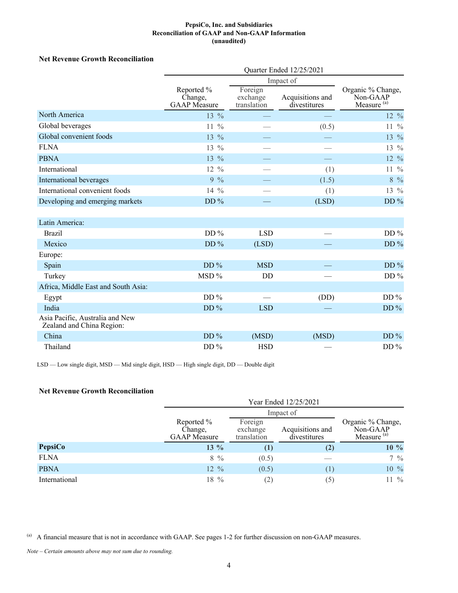### **Net Revenue Growth Reconciliation**

|                                                              | Quarter Ended 12/25/2021                     |                                    |                                  |                                                         |  |  |  |
|--------------------------------------------------------------|----------------------------------------------|------------------------------------|----------------------------------|---------------------------------------------------------|--|--|--|
|                                                              |                                              |                                    |                                  |                                                         |  |  |  |
|                                                              | Reported %<br>Change,<br><b>GAAP</b> Measure | Foreign<br>exchange<br>translation | Acquisitions and<br>divestitures | Organic % Change,<br>Non-GAAP<br>Measure <sup>(a)</sup> |  |  |  |
| North America                                                | $13\frac{9}{6}$                              |                                    |                                  | $12 \frac{9}{6}$                                        |  |  |  |
| Global beverages                                             | $\frac{0}{0}$<br>11                          |                                    | (0.5)                            | $11\frac{9}{6}$                                         |  |  |  |
| Global convenient foods                                      | $13 \frac{9}{6}$                             |                                    |                                  | $13\%$                                                  |  |  |  |
| <b>FLNA</b>                                                  | $13\frac{9}{6}$                              |                                    |                                  | $13\frac{9}{6}$                                         |  |  |  |
| <b>PBNA</b>                                                  | $13\%$                                       |                                    |                                  | 12 %                                                    |  |  |  |
| International                                                | $\frac{0}{0}$<br>12                          |                                    | (1)                              | $11\frac{9}{6}$                                         |  |  |  |
| International beverages                                      | $9\%$                                        |                                    | (1.5)                            | $8\,9/0$                                                |  |  |  |
| International convenient foods                               | $14\frac{9}{6}$                              |                                    | (1)                              | 13 %                                                    |  |  |  |
| Developing and emerging markets                              | DD $%$                                       |                                    | (LSD)                            | DD $%$                                                  |  |  |  |
| Latin America:                                               |                                              |                                    |                                  |                                                         |  |  |  |
| <b>Brazil</b>                                                | DD $%$                                       | <b>LSD</b>                         |                                  | DD $%$                                                  |  |  |  |
| Mexico                                                       | DD $%$                                       | (LSD)                              |                                  | $DD\%$                                                  |  |  |  |
| Europe:                                                      |                                              |                                    |                                  |                                                         |  |  |  |
| Spain                                                        | DD $%$                                       | <b>MSD</b>                         |                                  | $DD\%$                                                  |  |  |  |
| Turkey                                                       | MSD%                                         | <b>DD</b>                          |                                  | DD $%$                                                  |  |  |  |
| Africa, Middle East and South Asia:                          |                                              |                                    |                                  |                                                         |  |  |  |
| Egypt                                                        | DD $%$                                       |                                    | (DD)                             | DD $%$                                                  |  |  |  |
| India                                                        | DD $%$                                       | <b>LSD</b>                         |                                  | DD $%$                                                  |  |  |  |
| Asia Pacific, Australia and New<br>Zealand and China Region: |                                              |                                    |                                  |                                                         |  |  |  |
| China                                                        | DD $%$                                       | (MSD)                              | (MSD)                            | DD $%$                                                  |  |  |  |
| Thailand                                                     | DD $%$                                       | <b>HSD</b>                         |                                  | DD $%$                                                  |  |  |  |

LSD — Low single digit, MSD — Mid single digit, HSD — High single digit, DD — Double digit

### **Net Revenue Growth Reconciliation**

|               |                                              |                                    | Impact of                        |                                                         |
|---------------|----------------------------------------------|------------------------------------|----------------------------------|---------------------------------------------------------|
|               | Reported %<br>Change,<br><b>GAAP</b> Measure | Foreign<br>exchange<br>translation | Acquisitions and<br>divestitures | Organic % Change,<br>Non-GAAP<br>Measure <sup>(a)</sup> |
| PepsiCo       | $13\%$                                       | $\left(1\right)$                   | (2)                              | $10\%$                                                  |
| <b>FLNA</b>   | $8\frac{9}{6}$                               | (0.5)                              |                                  | $7\frac{9}{6}$                                          |
| <b>PBNA</b>   | $12 \frac{9}{6}$                             | (0.5)                              | (1)                              | 10 %                                                    |
| International | $18\%$                                       | (2)                                | (5)                              | $11 \frac{9}{6}$                                        |

<sup>(</sup>a) A financial measure that is not in accordance with GAAP. See pages 1-2 for further discussion on non-GAAP measures.

*Note – Certain amounts above may not sum due to rounding.*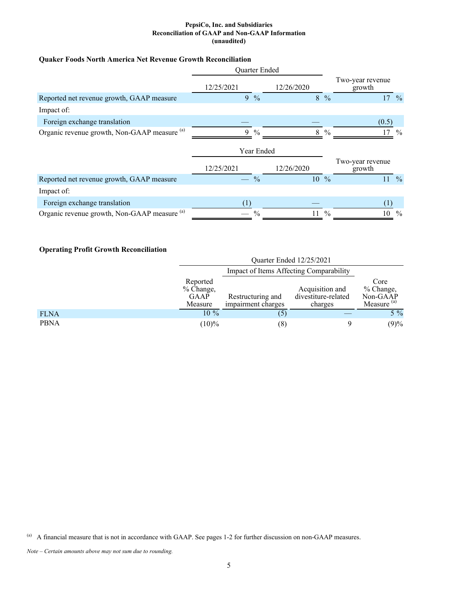### **Quaker Foods North America Net Revenue Growth Reconciliation**

|                                              | Quarter Ended |               |                 |                |                            |                  |
|----------------------------------------------|---------------|---------------|-----------------|----------------|----------------------------|------------------|
|                                              | 12/25/2021    | 12/26/2020    |                 |                | Two-year revenue<br>growth |                  |
| Reported net revenue growth, GAAP measure    |               | $9\%$         |                 | $8\frac{9}{6}$ |                            | $17 \frac{9}{6}$ |
| Impact of:                                   |               |               |                 |                |                            |                  |
| Foreign exchange translation                 |               |               |                 |                | (0.5)                      |                  |
| Organic revenue growth, Non-GAAP measure (a) | 9             | $\frac{0}{0}$ | 8               | $\frac{0}{0}$  |                            | $\frac{0}{0}$    |
|                                              |               | Year Ended    |                 |                |                            |                  |
|                                              | 12/25/2021    | 12/26/2020    |                 |                | Two-year revenue<br>growth |                  |
| Reported net revenue growth, GAAP measure    |               | $\frac{0}{0}$ | $10\frac{9}{6}$ |                |                            | $11 \frac{9}{6}$ |
| Impact of:                                   |               |               |                 |                |                            |                  |
| Foreign exchange translation                 |               |               |                 |                |                            |                  |
| Organic revenue growth, Non-GAAP measure (a) |               | $\frac{0}{0}$ | 11              | $\frac{0}{0}$  | 10                         | $\%$             |

# **Operating Profit Growth Reconciliation**

|             |                                          | Quarter Ended 12/25/2021                |                                                   |                                                         |  |  |
|-------------|------------------------------------------|-----------------------------------------|---------------------------------------------------|---------------------------------------------------------|--|--|
|             |                                          | Impact of Items Affecting Comparability |                                                   |                                                         |  |  |
|             | Reported<br>% Change,<br>GAAP<br>Measure | Restructuring and<br>impairment charges | Acquisition and<br>divestiture-related<br>charges | Core<br>% Change,<br>Non-GAAP<br>Measure <sup>(a)</sup> |  |  |
| <b>FLNA</b> | $10\%$                                   | (5)                                     |                                                   | $5\%$                                                   |  |  |
| <b>PBNA</b> | $(10)\%$                                 | (8)                                     |                                                   | (9)%                                                    |  |  |

(a) A financial measure that is not in accordance with GAAP. See pages 1-2 for further discussion on non-GAAP measures.

*Note – Certain amounts above may not sum due to rounding.*